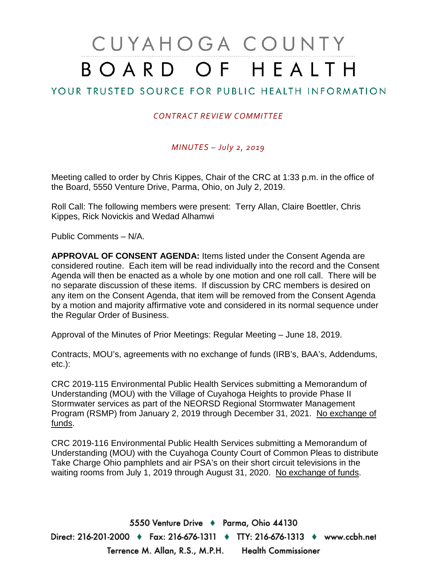# CUYAHOGA COUNTY BOARD OF HEALTH

## YOUR TRUSTED SOURCE FOR PUBLIC HEALTH INFORMATION

#### *CONTRACT REVIEW COMMITTEE*

#### *MINUTES – July 2, 2019*

Meeting called to order by Chris Kippes, Chair of the CRC at 1:33 p.m. in the office of the Board, 5550 Venture Drive, Parma, Ohio, on July 2, 2019.

Roll Call: The following members were present: Terry Allan, Claire Boettler, Chris Kippes, Rick Novickis and Wedad Alhamwi

Public Comments – N/A.

**APPROVAL OF CONSENT AGENDA:** Items listed under the Consent Agenda are considered routine. Each item will be read individually into the record and the Consent Agenda will then be enacted as a whole by one motion and one roll call. There will be no separate discussion of these items. If discussion by CRC members is desired on any item on the Consent Agenda, that item will be removed from the Consent Agenda by a motion and majority affirmative vote and considered in its normal sequence under the Regular Order of Business.

Approval of the Minutes of Prior Meetings: Regular Meeting – June 18, 2019.

Contracts, MOU's, agreements with no exchange of funds (IRB's, BAA's, Addendums, etc.):

CRC 2019-115 Environmental Public Health Services submitting a Memorandum of Understanding (MOU) with the Village of Cuyahoga Heights to provide Phase II Stormwater services as part of the NEORSD Regional Stormwater Management Program (RSMP) from January 2, 2019 through December 31, 2021. No exchange of funds.

CRC 2019-116 Environmental Public Health Services submitting a Memorandum of Understanding (MOU) with the Cuyahoga County Court of Common Pleas to distribute Take Charge Ohio pamphlets and air PSA's on their short circuit televisions in the waiting rooms from July 1, 2019 through August 31, 2020. No exchange of funds.

5550 Venture Drive + Parma, Ohio 44130 Direct: 216-201-2000 ♦ Fax: 216-676-1311 ♦ TTY: 216-676-1313 ♦ www.ccbh.net Terrence M. Allan, R.S., M.P.H. Health Commissioner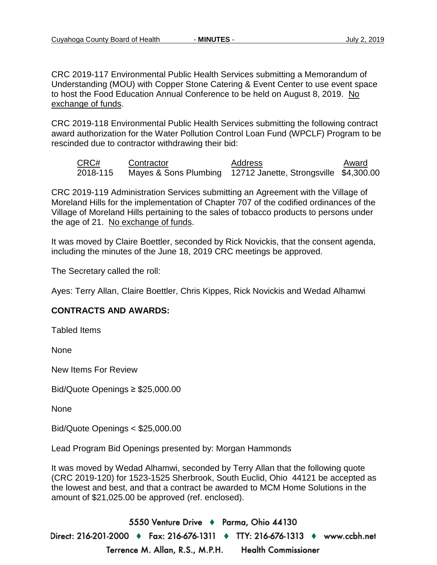CRC 2019-117 Environmental Public Health Services submitting a Memorandum of Understanding (MOU) with Copper Stone Catering & Event Center to use event space to host the Food Education Annual Conference to be held on August 8, 2019. No exchange of funds.

CRC 2019-118 Environmental Public Health Services submitting the following contract award authorization for the Water Pollution Control Loan Fund (WPCLF) Program to be rescinded due to contractor withdrawing their bid:

CRC# Contractor Address Award 2018-115 Mayes & Sons Plumbing 12712 Janette, Strongsville \$4,300.00

CRC 2019-119 Administration Services submitting an Agreement with the Village of Moreland Hills for the implementation of Chapter 707 of the codified ordinances of the Village of Moreland Hills pertaining to the sales of tobacco products to persons under the age of 21. No exchange of funds.

It was moved by Claire Boettler, seconded by Rick Novickis, that the consent agenda, including the minutes of the June 18, 2019 CRC meetings be approved.

The Secretary called the roll:

Ayes: Terry Allan, Claire Boettler, Chris Kippes, Rick Novickis and Wedad Alhamwi

#### **CONTRACTS AND AWARDS:**

Tabled Items

None

New Items For Review

Bid/Quote Openings ≥ \$25,000.00

None

Bid/Quote Openings < \$25,000.00

Lead Program Bid Openings presented by: Morgan Hammonds

It was moved by Wedad Alhamwi, seconded by Terry Allan that the following quote (CRC 2019-120) for 1523-1525 Sherbrook, South Euclid, Ohio 44121 be accepted as the lowest and best, and that a contract be awarded to MCM Home Solutions in the amount of \$21,025.00 be approved (ref. enclosed).

5550 Venture Drive + Parma, Ohio 44130 Direct: 216-201-2000 ♦ Fax: 216-676-1311 ♦ TTY: 216-676-1313 ♦ www.ccbh.net Terrence M. Allan, R.S., M.P.H. **Health Commissioner**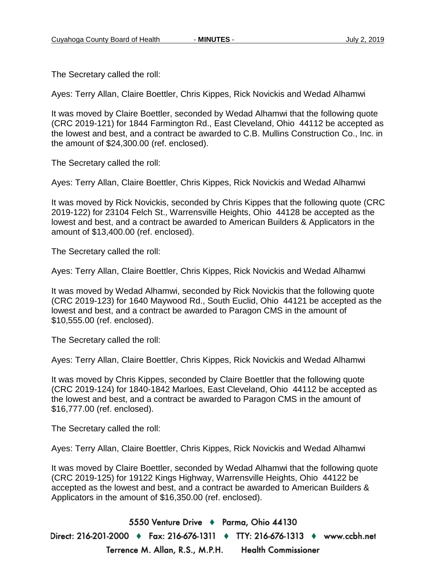The Secretary called the roll:

Ayes: Terry Allan, Claire Boettler, Chris Kippes, Rick Novickis and Wedad Alhamwi

It was moved by Claire Boettler, seconded by Wedad Alhamwi that the following quote (CRC 2019-121) for 1844 Farmington Rd., East Cleveland, Ohio 44112 be accepted as the lowest and best, and a contract be awarded to C.B. Mullins Construction Co., Inc. in the amount of \$24,300.00 (ref. enclosed).

The Secretary called the roll:

Ayes: Terry Allan, Claire Boettler, Chris Kippes, Rick Novickis and Wedad Alhamwi

It was moved by Rick Novickis, seconded by Chris Kippes that the following quote (CRC 2019-122) for 23104 Felch St., Warrensville Heights, Ohio 44128 be accepted as the lowest and best, and a contract be awarded to American Builders & Applicators in the amount of \$13,400.00 (ref. enclosed).

The Secretary called the roll:

Ayes: Terry Allan, Claire Boettler, Chris Kippes, Rick Novickis and Wedad Alhamwi

It was moved by Wedad Alhamwi, seconded by Rick Novickis that the following quote (CRC 2019-123) for 1640 Maywood Rd., South Euclid, Ohio 44121 be accepted as the lowest and best, and a contract be awarded to Paragon CMS in the amount of \$10,555.00 (ref. enclosed).

The Secretary called the roll:

Ayes: Terry Allan, Claire Boettler, Chris Kippes, Rick Novickis and Wedad Alhamwi

It was moved by Chris Kippes, seconded by Claire Boettler that the following quote (CRC 2019-124) for 1840-1842 Marloes, East Cleveland, Ohio 44112 be accepted as the lowest and best, and a contract be awarded to Paragon CMS in the amount of \$16,777.00 (ref. enclosed).

The Secretary called the roll:

Ayes: Terry Allan, Claire Boettler, Chris Kippes, Rick Novickis and Wedad Alhamwi

It was moved by Claire Boettler, seconded by Wedad Alhamwi that the following quote (CRC 2019-125) for 19122 Kings Highway, Warrensville Heights, Ohio 44122 be accepted as the lowest and best, and a contract be awarded to American Builders & Applicators in the amount of \$16,350.00 (ref. enclosed).

5550 Venture Drive + Parma, Ohio 44130 Direct: 216-201-2000 ♦ Fax: 216-676-1311 ♦ TTY: 216-676-1313 ♦ www.ccbh.net Terrence M. Allan, R.S., M.P.H. **Health Commissioner**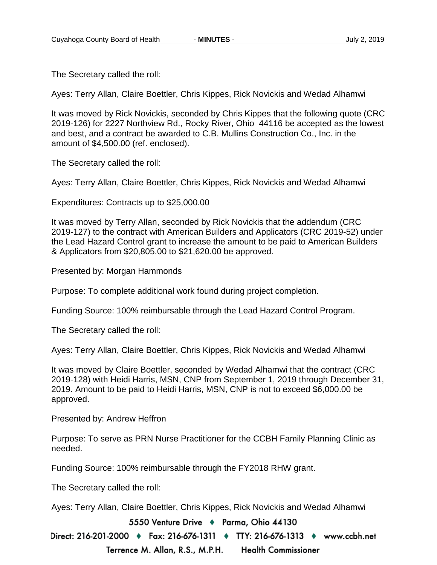The Secretary called the roll:

Ayes: Terry Allan, Claire Boettler, Chris Kippes, Rick Novickis and Wedad Alhamwi

It was moved by Rick Novickis, seconded by Chris Kippes that the following quote (CRC 2019-126) for 2227 Northview Rd., Rocky River, Ohio 44116 be accepted as the lowest and best, and a contract be awarded to C.B. Mullins Construction Co., Inc. in the amount of \$4,500.00 (ref. enclosed).

The Secretary called the roll:

Ayes: Terry Allan, Claire Boettler, Chris Kippes, Rick Novickis and Wedad Alhamwi

Expenditures: Contracts up to \$25,000.00

It was moved by Terry Allan, seconded by Rick Novickis that the addendum (CRC 2019-127) to the contract with American Builders and Applicators (CRC 2019-52) under the Lead Hazard Control grant to increase the amount to be paid to American Builders & Applicators from \$20,805.00 to \$21,620.00 be approved.

Presented by: Morgan Hammonds

Purpose: To complete additional work found during project completion.

Funding Source: 100% reimbursable through the Lead Hazard Control Program.

The Secretary called the roll:

Ayes: Terry Allan, Claire Boettler, Chris Kippes, Rick Novickis and Wedad Alhamwi

It was moved by Claire Boettler, seconded by Wedad Alhamwi that the contract (CRC 2019-128) with Heidi Harris, MSN, CNP from September 1, 2019 through December 31, 2019. Amount to be paid to Heidi Harris, MSN, CNP is not to exceed \$6,000.00 be approved.

Presented by: Andrew Heffron

Purpose: To serve as PRN Nurse Practitioner for the CCBH Family Planning Clinic as needed.

Funding Source: 100% reimbursable through the FY2018 RHW grant.

The Secretary called the roll:

Ayes: Terry Allan, Claire Boettler, Chris Kippes, Rick Novickis and Wedad Alhamwi

5550 Venture Drive + Parma, Ohio 44130

Direct: 216-201-2000 ♦ Fax: 216-676-1311 ♦ TTY: 216-676-1313 ♦ www.ccbh.net Terrence M. Allan, R.S., M.P.H. **Health Commissioner**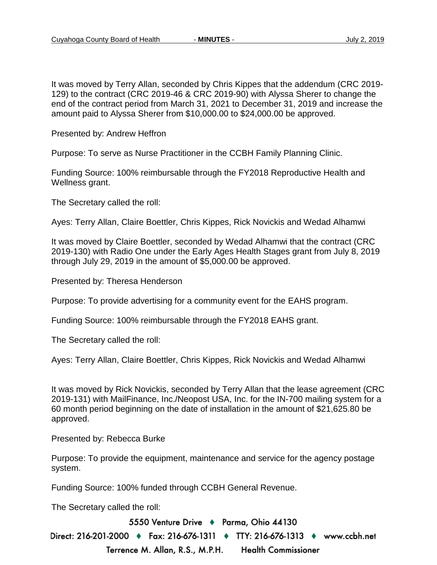It was moved by Terry Allan, seconded by Chris Kippes that the addendum (CRC 2019- 129) to the contract (CRC 2019-46 & CRC 2019-90) with Alyssa Sherer to change the end of the contract period from March 31, 2021 to December 31, 2019 and increase the amount paid to Alyssa Sherer from \$10,000.00 to \$24,000.00 be approved.

Presented by: Andrew Heffron

Purpose: To serve as Nurse Practitioner in the CCBH Family Planning Clinic.

Funding Source: 100% reimbursable through the FY2018 Reproductive Health and Wellness grant.

The Secretary called the roll:

Ayes: Terry Allan, Claire Boettler, Chris Kippes, Rick Novickis and Wedad Alhamwi

It was moved by Claire Boettler, seconded by Wedad Alhamwi that the contract (CRC 2019-130) with Radio One under the Early Ages Health Stages grant from July 8, 2019 through July 29, 2019 in the amount of \$5,000.00 be approved.

Presented by: Theresa Henderson

Purpose: To provide advertising for a community event for the EAHS program.

Funding Source: 100% reimbursable through the FY2018 EAHS grant.

The Secretary called the roll:

Ayes: Terry Allan, Claire Boettler, Chris Kippes, Rick Novickis and Wedad Alhamwi

It was moved by Rick Novickis, seconded by Terry Allan that the lease agreement (CRC 2019-131) with MailFinance, Inc./Neopost USA, Inc. for the IN-700 mailing system for a 60 month period beginning on the date of installation in the amount of \$21,625.80 be approved.

Presented by: Rebecca Burke

Purpose: To provide the equipment, maintenance and service for the agency postage system.

Funding Source: 100% funded through CCBH General Revenue.

The Secretary called the roll:

5550 Venture Drive + Parma, Ohio 44130

Direct: 216-201-2000 ♦ Fax: 216-676-1311 ♦ TTY: 216-676-1313 ♦ www.ccbh.net Terrence M. Allan, R.S., M.P.H. **Health Commissioner**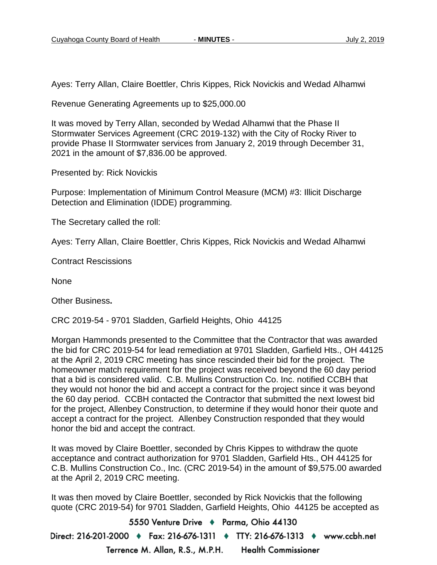Ayes: Terry Allan, Claire Boettler, Chris Kippes, Rick Novickis and Wedad Alhamwi

Revenue Generating Agreements up to \$25,000.00

It was moved by Terry Allan, seconded by Wedad Alhamwi that the Phase II Stormwater Services Agreement (CRC 2019-132) with the City of Rocky River to provide Phase II Stormwater services from January 2, 2019 through December 31, 2021 in the amount of \$7,836.00 be approved.

Presented by: Rick Novickis

Purpose: Implementation of Minimum Control Measure (MCM) #3: Illicit Discharge Detection and Elimination (IDDE) programming.

The Secretary called the roll:

Ayes: Terry Allan, Claire Boettler, Chris Kippes, Rick Novickis and Wedad Alhamwi

Contract Rescissions

None

Other Business**.**

CRC 2019-54 - 9701 Sladden, Garfield Heights, Ohio 44125

Morgan Hammonds presented to the Committee that the Contractor that was awarded the bid for CRC 2019-54 for lead remediation at 9701 Sladden, Garfield Hts., OH 44125 at the April 2, 2019 CRC meeting has since rescinded their bid for the project. The homeowner match requirement for the project was received beyond the 60 day period that a bid is considered valid. C.B. Mullins Construction Co. Inc. notified CCBH that they would not honor the bid and accept a contract for the project since it was beyond the 60 day period. CCBH contacted the Contractor that submitted the next lowest bid for the project, Allenbey Construction, to determine if they would honor their quote and accept a contract for the project. Allenbey Construction responded that they would honor the bid and accept the contract.

It was moved by Claire Boettler, seconded by Chris Kippes to withdraw the quote acceptance and contract authorization for 9701 Sladden, Garfield Hts., OH 44125 for C.B. Mullins Construction Co., Inc. (CRC 2019-54) in the amount of \$9,575.00 awarded at the April 2, 2019 CRC meeting.

It was then moved by Claire Boettler, seconded by Rick Novickis that the following quote (CRC 2019-54) for 9701 Sladden, Garfield Heights, Ohio 44125 be accepted as

5550 Venture Drive + Parma, Ohio 44130 Direct: 216-201-2000 ♦ Fax: 216-676-1311 ♦ TTY: 216-676-1313 ♦ www.ccbh.net Terrence M. Allan, R.S., M.P.H. **Health Commissioner**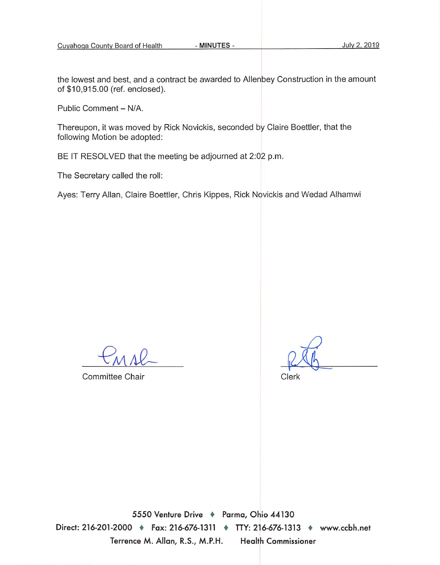the lowest and best, and a contract be awarded to Allenbey Construction in the amount of \$10,915.00 (ref. enclosed).

Public Comment - N/A.

Thereupon, it was moved by Rick Novickis, seconded by Claire Boettler, that the following Motion be adopted:

BE IT RESOLVED that the meeting be adjourned at 2:02 p.m.

The Secretary called the roll:

Ayes: Terry Allan, Claire Boettler, Chris Kippes, Rick Novickis and Wedad Alhamwi

Committee Chair

Clerk

5550 Venture Drive + Parma, Ohio 44130 Direct: 216-201-2000 + Fax: 216-676-1311 + TTY: 216-676-1313 + www.ccbh.net Terrence M. Allan, R.S., M.P.H. **Health Commissioner**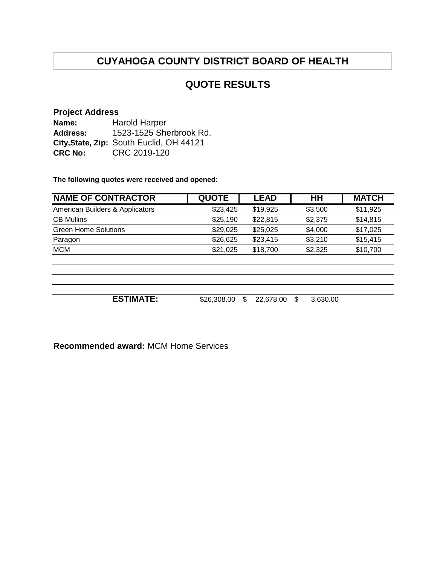## **QUOTE RESULTS**

#### **Project Address**

**Name: Address: City,State, Zip:** South Euclid, OH 44121 **CRC No:** CRC 2019-120 Harold Harper 1523-1525 Sherbrook Rd.

**The following quotes were received and opened:**

| <b>NAME OF CONTRACTOR</b>       | <b>QUOTE</b> | <b>LEAD</b>     | HН              | <b>MATCH</b> |
|---------------------------------|--------------|-----------------|-----------------|--------------|
| American Builders & Applicators | \$23,425     | \$19,925        | \$3,500         | \$11,925     |
| <b>CB Mullins</b>               | \$25,190     | \$22,815        | \$2,375         | \$14,815     |
| <b>Green Home Solutions</b>     | \$29,025     | \$25,025        | \$4,000         | \$17,025     |
| Paragon                         | \$26,625     | \$23,415        | \$3,210         | \$15,415     |
| <b>MCM</b>                      | \$21,025     | \$18,700        | \$2,325         | \$10,700     |
|                                 |              |                 |                 |              |
|                                 |              |                 |                 |              |
| <b>ESTIMATE:</b>                | \$26,308.00  | \$<br>22,678.00 | 3,630.00<br>\$. |              |

**Recommended award:** MCM Home Services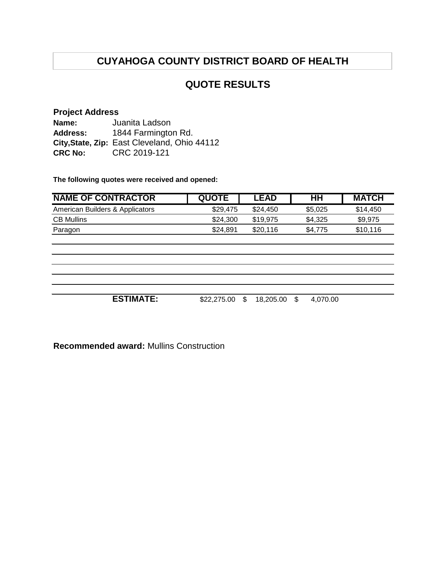## **QUOTE RESULTS**

#### **Project Address**

**Name: Address: City,State, Zip:** East Cleveland, Ohio 44112 **CRC No:** CRC 2019-121 Juanita Ladson 1844 Farmington Rd.

**The following quotes were received and opened:**

| <b>NAME OF CONTRACTOR</b>       | <b>QUOTE</b> | <b>LEAD</b>     | HH              | <b>MATCH</b> |
|---------------------------------|--------------|-----------------|-----------------|--------------|
| American Builders & Applicators | \$29,475     | \$24,450        | \$5,025         | \$14,450     |
| <b>CB Mullins</b>               | \$24,300     | \$19,975        | \$4,325         | \$9,975      |
| Paragon                         | \$24,891     | \$20,116        | \$4,775         | \$10,116     |
|                                 |              |                 |                 |              |
|                                 |              |                 |                 |              |
|                                 |              |                 |                 |              |
|                                 |              |                 |                 |              |
|                                 |              |                 |                 |              |
|                                 |              |                 |                 |              |
| <b>ESTIMATE:</b>                | \$22,275.00  | 18,205.00<br>\$ | 4,070.00<br>\$. |              |

**Recommended award:** Mullins Construction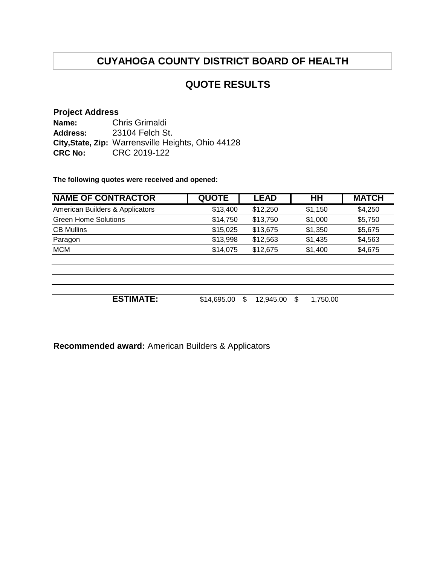## **QUOTE RESULTS**

#### **Project Address**

**Name: Address: City,State, Zip:** Warrensville Heights, Ohio 44128 **CRC No:** CRC 2019-122 Chris Grimaldi 23104 Felch St.

**The following quotes were received and opened:**

| <b>NAME OF CONTRACTOR</b>       | <b>QUOTE</b> | <b>LEAD</b>     | HH             | <b>MATCH</b> |
|---------------------------------|--------------|-----------------|----------------|--------------|
| American Builders & Applicators | \$13,400     | \$12,250        | \$1,150        | \$4,250      |
| <b>Green Home Solutions</b>     | \$14,750     | \$13,750        | \$1,000        | \$5,750      |
| <b>CB Mullins</b>               | \$15,025     | \$13,675        | \$1,350        | \$5,675      |
| Paragon                         | \$13,998     | \$12,563        | \$1,435        | \$4,563      |
| <b>MCM</b>                      | \$14,075     | \$12,675        | \$1,400        | \$4,675      |
|                                 |              |                 |                |              |
|                                 |              |                 |                |              |
| <b>ESTIMATE:</b>                | \$14,695.00  | \$<br>12,945.00 | \$<br>1,750.00 |              |

**Recommended award:** American Builders & Applicators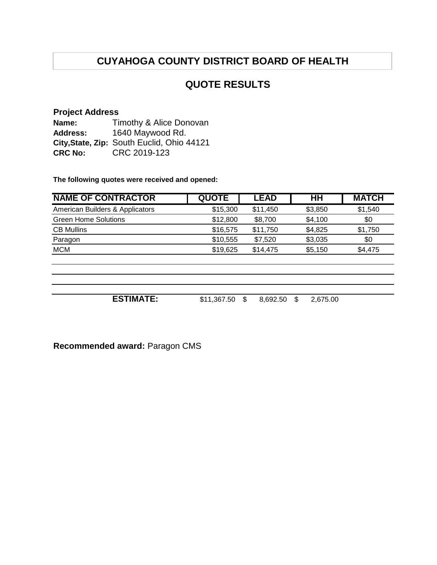## **QUOTE RESULTS**

#### **Project Address**

**Name: Address: City,State, Zip:** South Euclid, Ohio 44121 **CRC No:** CRC 2019-123 Timothy & Alice Donovan 1640 Maywood Rd.

**The following quotes were received and opened:**

| <b>NAME OF CONTRACTOR</b>       | <b>QUOTE</b> | <b>LEAD</b>    | HΗ             | <b>MATCH</b> |
|---------------------------------|--------------|----------------|----------------|--------------|
| American Builders & Applicators | \$15,300     | \$11,450       | \$3,850        | \$1,540      |
| <b>Green Home Solutions</b>     | \$12,800     | \$8,700        | \$4,100        | \$0          |
| <b>CB Mullins</b>               | \$16,575     | \$11,750       | \$4,825        | \$1,750      |
| Paragon                         | \$10,555     | \$7,520        | \$3,035        | \$0          |
| <b>MCM</b>                      | \$19,625     | \$14,475       | \$5,150        | \$4,475      |
|                                 |              |                |                |              |
|                                 |              |                |                |              |
| <b>ESTIMATE:</b>                | \$11,367.50  | 8,692.50<br>\$ | \$<br>2,675.00 |              |

**Recommended award:** Paragon CMS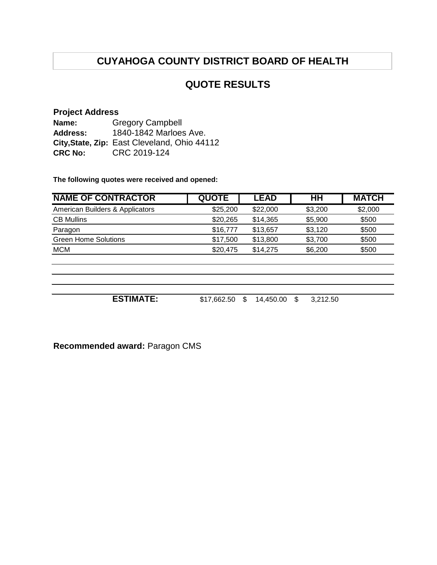## **QUOTE RESULTS**

#### **Project Address**

**Name: Address: City,State, Zip:** East Cleveland, Ohio 44112 **CRC No:** CRC 2019-124 Gregory Campbell 1840-1842 Marloes Ave.

**The following quotes were received and opened:**

| <b>NAME OF CONTRACTOR</b>       | <b>QUOTE</b> | <b>LEAD</b>     | HH              | <b>MATCH</b> |
|---------------------------------|--------------|-----------------|-----------------|--------------|
| American Builders & Applicators | \$25,200     | \$22,000        | \$3,200         | \$2,000      |
| <b>CB Mullins</b>               | \$20,265     | \$14,365        | \$5,900         | \$500        |
| Paragon                         | \$16,777     | \$13,657        | \$3,120         | \$500        |
| <b>Green Home Solutions</b>     | \$17,500     | \$13,800        | \$3,700         | \$500        |
| <b>MCM</b>                      | \$20,475     | \$14,275        | \$6,200         | \$500        |
|                                 |              |                 |                 |              |
|                                 |              |                 |                 |              |
|                                 |              |                 |                 |              |
| <b>ESTIMATE:</b>                | \$17,662.50  | \$<br>14,450.00 | 3,212.50<br>\$. |              |

**Recommended award:** Paragon CMS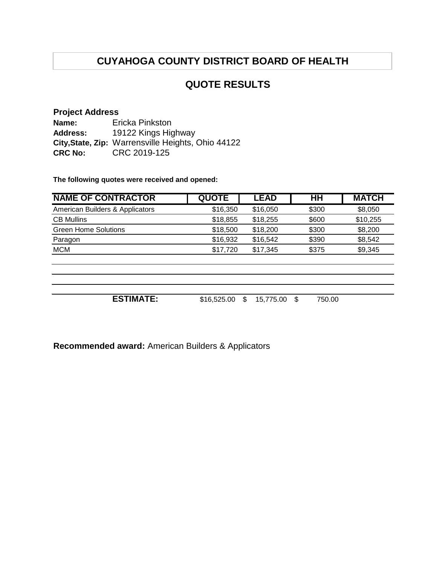## **QUOTE RESULTS**

#### **Project Address**

**Name: Address: City,State, Zip:** Warrensville Heights, Ohio 44122 **CRC No:** CRC 2019-125 Ericka Pinkston 19122 Kings Highway

**The following quotes were received and opened:**

| <b>NAME OF CONTRACTOR</b>       | <b>QUOTE</b> | <b>LEAD</b>     | HH           | <b>MATCH</b> |
|---------------------------------|--------------|-----------------|--------------|--------------|
| American Builders & Applicators | \$16,350     | \$16,050        | \$300        | \$8,050      |
| <b>CB Mullins</b>               | \$18,855     | \$18,255        | \$600        | \$10,255     |
| <b>Green Home Solutions</b>     | \$18,500     | \$18,200        | \$300        | \$8,200      |
| Paragon                         | \$16,932     | \$16,542        | \$390        | \$8,542      |
| <b>MCM</b>                      | \$17,720     | \$17,345        | \$375        | \$9,345      |
|                                 |              |                 |              |              |
|                                 |              |                 |              |              |
| <b>ESTIMATE:</b>                | \$16,525.00  | 15,775.00<br>\$ | \$<br>750.00 |              |

**Recommended award:** American Builders & Applicators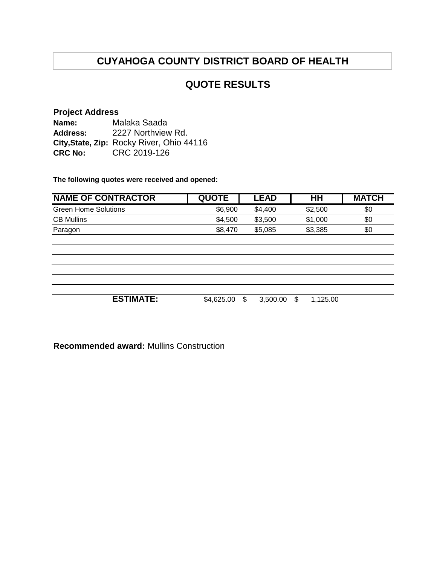## **QUOTE RESULTS**

#### **Project Address**

**Name: Address: City,State, Zip:** Rocky River, Ohio 44116 **CRC No:** CRC 2019-126 Malaka Saada 2227 Northview Rd.

**The following quotes were received and opened:**

| <b>NAME OF CONTRACTOR</b>   | <b>QUOTE</b> | <b>LEAD</b>       | H H      | <b>MATCH</b> |
|-----------------------------|--------------|-------------------|----------|--------------|
| <b>Green Home Solutions</b> | \$6,900      | \$4,400           | \$2,500  | \$0          |
| <b>CB Mullins</b>           | \$4,500      | \$3,500           | \$1,000  | \$0          |
| Paragon                     | \$8,470      | \$5,085           | \$3,385  | \$0          |
|                             |              |                   |          |              |
|                             |              |                   |          |              |
|                             |              |                   |          |              |
|                             |              |                   |          |              |
|                             |              |                   |          |              |
|                             |              |                   |          |              |
| <b>ESTIMATE:</b>            | \$4,625.00   | \$<br>3,500.00 \$ | 1,125.00 |              |

**Recommended award:** Mullins Construction